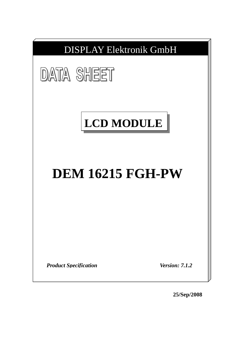

**25/Sep/2008**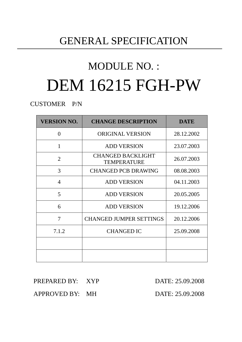# GENERAL SPECIFICATION

# MODULE NO. : DEM 16215 FGH-PW

CUSTOMER P/N

| <b>VERSION NO.</b> | <b>CHANGE DESCRIPTION</b>                      | <b>DATE</b> |
|--------------------|------------------------------------------------|-------------|
| $\theta$           | ORIGINAL VERSION                               | 28.12.2002  |
| 1                  | <b>ADD VERSION</b>                             | 23.07.2003  |
| $\overline{2}$     | <b>CHANGED BACKLIGHT</b><br><b>TEMPERATURE</b> | 26.07.2003  |
| 3                  | <b>CHANGED PCB DRAWING</b>                     | 08.08.2003  |
| $\overline{4}$     | <b>ADD VERSION</b>                             | 04.11.2003  |
| 5                  | <b>ADD VERSION</b>                             | 20.05.2005  |
| 6                  | <b>ADD VERSION</b>                             | 19.12.2006  |
| 7                  | <b>CHANGED JUMPER SETTINGS</b>                 | 20.12.2006  |
| 7.1.2              | <b>CHANGED IC</b>                              | 25.09.2008  |
|                    |                                                |             |
|                    |                                                |             |

PREPARED BY: XYP DATE: 25.09.2008

APPROVED BY: MH DATE: 25.09.2008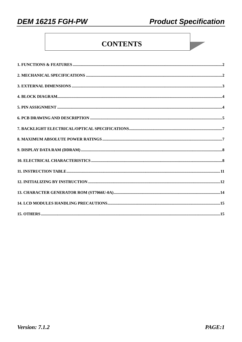**DEM 16215 FGH-PW** 

# **CONTENTS**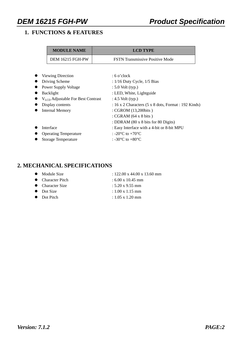# **1. FUNCTIONS & FEATURES**

| <b>LCD TYPE</b>                                                     |
|---------------------------------------------------------------------|
| <b>FSTN Transmissive Positive Mode</b>                              |
|                                                                     |
| $:6$ o'clock                                                        |
| : $1/16$ Duty Cycle, $1/5$ Bias                                     |
| $: 5.0$ Volt (typ.)                                                 |
| : LED, White, Lightguide                                            |
| $V_{LCD}$ Adjustable For Best Contrast<br>: $4.5$ Volt (typ.)       |
| : 16 x 2 Characters $(5 \times 8 \text{ dots},$ Format : 192 Kinds) |
| : CGROM (13,200bits)                                                |
| : CGRAM $(64 \times 8 \text{ bits})$                                |
| : DDRAM (80 x 8 bits for 80 Digits)                                 |
| : Easy Interface with a 4-bit or 8-bit MPU                          |
| : -20 $^{\circ}$ C to +70 $^{\circ}$ C                              |
| : -30 $\mathrm{^{\circ}C}$ to +80 $\mathrm{^{\circ}C}$              |
|                                                                     |

# **2. MECHANICAL SPECIFICATIONS**

| $\bullet$ Module Size | : 122.00 x 44.00 x 13.60 mm |
|-----------------------|-----------------------------|
| • Character Pitch     | $: 6.00 \times 10.45$ mm    |
| • Character Size      | $: 5.20 \times 9.55$ mm     |
| • Dot Size            | $: 1.00 \times 1.15$ mm     |
| • Dot Pitch           | $: 1.05 \times 1.20$ mm     |
|                       |                             |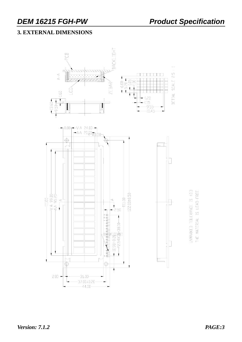# **3. EXTERNAL DIMENSIONS**



UNMARKED TOLERANCE IS ±0.3 THE MATERIAL IS LEAD-FREE.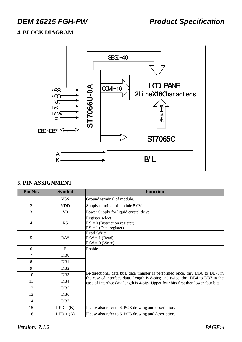# **4. BLOCK DIAGRAM**



### **5. PIN ASSIGNMENT**

| Pin No. | <b>Symbol</b>    | <b>Function</b>                                                                                                                                                  |
|---------|------------------|------------------------------------------------------------------------------------------------------------------------------------------------------------------|
| 1       | <b>VSS</b>       | Ground terminal of module.                                                                                                                                       |
| 2       | <b>VDD</b>       | Supply terminal of module 5.0V.                                                                                                                                  |
| 3       | V <sub>0</sub>   | Power Supply for liquid crystal drive.                                                                                                                           |
| 4       | RS               | Register select<br>$RS = 0$ (Instruction register)<br>$RS = 1$ (Data register)                                                                                   |
| 5       | R/W              | Read /Write<br>$R/W = 1$ (Read)<br>$R/W = 0$ (Write)                                                                                                             |
| 6       | ${\bf E}$        | Enable                                                                                                                                                           |
| 7       | D <sub>B</sub> 0 |                                                                                                                                                                  |
| 8       | DB1              |                                                                                                                                                                  |
| 9       | D <sub>B2</sub>  |                                                                                                                                                                  |
| 10      | DB <sub>3</sub>  | Bi-directional data bus, data transfer is performed once, thru DB0 to DB7, in<br>the case of interface data. Length is 8-bits; and twice, thru DB4 to DB7 in the |
| 11      | DB <sub>4</sub>  | case of interface data length is 4-bits. Upper four bits first then lower four bits.                                                                             |
| 12      | DB <sub>5</sub>  |                                                                                                                                                                  |
| 13      | DB <sub>6</sub>  |                                                                                                                                                                  |
| 14      | DB7              |                                                                                                                                                                  |
| 15      | $LED - (K)$      | Please also refer to 6. PCB drawing and description.                                                                                                             |
| 16      | $LED + (A)$      | Please also refer to 6. PCB drawing and description.                                                                                                             |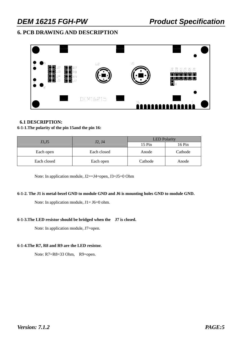# **6. PCB DRAWING AND DESCRIPTION**



### **6.1 DESCRIPTION:**

### **6-1-1.The polarity of the pin 15and the pin 16:**

|             |             | <b>LED</b> Polarity |         |  |  |  |
|-------------|-------------|---------------------|---------|--|--|--|
| J3,J5       | J2, J4      | 15 Pin              | 16 Pin  |  |  |  |
| Each open   | Each closed | Anode               | Cathode |  |  |  |
| Each closed | Each open   | Cathode             | Anode   |  |  |  |

Note: In application module, J2==J4=open, J3=J5=0 Ohm

### **6-1-2. The J1 is metal-bezel GND to module GND and J6 is mounting holes GND to module GND.**

Note: In application module,  $J1=J6=0$  ohm.

### **6-1-3.The LED resistor should be bridged when the J7 is closed.**

Note: In application module, J7=open.

### **6-1-4.The R7, R8 and R9 are the LED resistor.**

Note: R7=R8=33 Ohm, R9=open.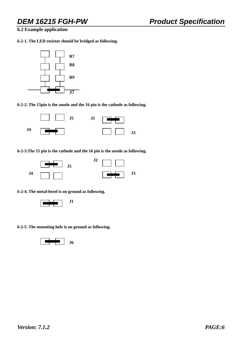**6.2 Example application** 

**6-2-1. The LED resistor should be bridged as following.** 



**6-2-2. The 15pin is the anode and the 16 pin is the cathode as following.** 



**6-2-3.The 15 pin is the cathode and the 16 pin is the anode as following.** 



**6-2-4. The metal-bezel is on ground as following.** 



**6-2-5. The mounting hole is on ground as following.**

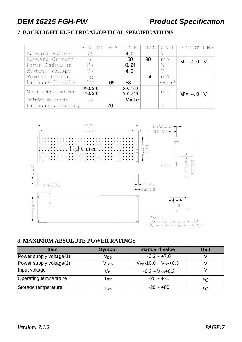# **7. BACKLIGHT ELECTRICAL/OPTICAL SPECIFICATIONS**

|                         | SYMBOL                     | MIN. | TYP.                  |     | MAX. UNIT         | CONDITIONS  |
|-------------------------|----------------------------|------|-----------------------|-----|-------------------|-------------|
| Forward Voltage         | Vf                         |      | 4.0                   |     |                   |             |
| Forward Current         | If                         |      | 60                    | 80  | mA                | $M = 4.0$ V |
| Power Disdipation       | P <sub>d</sub>             |      | 0.21                  |     | W                 |             |
| Reverse Voltage         | VR                         |      | 4.0                   |     | V                 |             |
| Reverse Current         | 1R                         |      |                       | 0.4 | mA                |             |
| Luminous Intensity      | $\mathop{\rm Lv}\nolimits$ | 65   | 88                    |     | cd/m <sup>2</sup> |             |
| Chromaticity coordinate | $X=0.270$<br>$Y=0.270$     |      | $X=0.300$<br>Y=0. 315 |     | nm                | $M = 4.0$ V |
| Emission Wavelength     | $\lambda P$                |      | White                 |     |                   |             |
| Luminous Uniformity     |                            | 70   |                       |     | $\%$              |             |



# **8. MAXIMUM ABSOLUTE POWER RATINGS**

| <b>Item</b>             | <b>Symbol</b>               | <b>Standard value</b>          | <b>Unit</b>     |
|-------------------------|-----------------------------|--------------------------------|-----------------|
| Power supply voltage(1) | $V_{DD}$                    | $-0.3 - +7.0$                  |                 |
| Power supply voltage(2) | $\mathsf{V}_{\mathsf{LCD}}$ | $V_{DD}$ -10.0 ~ $V_{DD}$ +0.3 |                 |
| Input voltage           | Vın                         | $-0.3 \sim V_{DD}+0.3$         |                 |
| Operating temperature   | $\mathsf{T}_{\mathsf{opt}}$ | $-20 - +70$                    | $^{\circ}C$     |
| Storage temperature     | $\mathsf{T}_{\textsf{stg}}$ | $-30 - +80$                    | $\rm ^{\circ}C$ |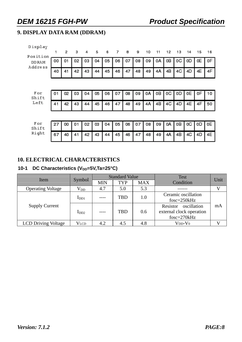# **9. DISPLAY DATA RAM (DDRAM)**

| Display<br>Position |    | 2  | з  | 4  | 5  | 6  | 7  | 8  | 9  | 10 | 11 | 12 | 13 | 14 | 15 | 16 |
|---------------------|----|----|----|----|----|----|----|----|----|----|----|----|----|----|----|----|
| DD RAM<br>Address   | 00 | 01 | 02 | 03 | 04 | 05 | 06 | 07 | 08 | 09 | 0A | 0B | 0C | 0D | 0E | 0F |
|                     | 40 | 41 | 42 | 43 | 44 | 45 | 46 | 47 | 48 | 49 | 4Α | 4B | 4C | 4D | 4Ε | 4F |
|                     |    |    |    |    |    |    |    |    |    |    |    |    |    |    |    |    |
| For<br>Shift        | 01 | 02 | 03 | 04 | 05 | 06 | 07 | 08 | 09 | 0A | oВ | oС | 0D | 0E | 0F | 10 |
| Left                | 41 | 42 | 43 | 44 | 45 | 46 | 47 | 48 | 49 | 4A | 4B | 4C | 4D | 4E | 4F | 50 |
|                     |    |    |    |    |    |    |    |    |    |    |    |    |    |    |    |    |
| For<br>Shift        | 27 | oo | 01 | 02 | 03 | 04 | 05 | 06 | 07 | 08 | 09 | 0A | OΒ | ОC | οD | 0Е |

47

46

48

49

4A | 4B | 4C |

4D

4E

42 43 44 45

### **10. ELECTRICAL CHARACTERISTICS**

 $67$  40 41

Right

### 10-1 DC Characteristics (V<sub>DD</sub>=5V,Ta=25°C)

| Item                       |           |            | <b>Standard Value</b> |            | <b>Test</b>                                                     | Unit |
|----------------------------|-----------|------------|-----------------------|------------|-----------------------------------------------------------------|------|
|                            | Symbol    | <b>MIN</b> | <b>TYP</b>            | <b>MAX</b> | Condition                                                       |      |
| <b>Operating Voltage</b>   | $V_{DD}$  | 4.7        | 5.0                   | 5.3        |                                                                 |      |
|                            | $I_{DD1}$ |            | <b>TBD</b>            | 1.0        | Ceramic oscillation<br>fosc=250kHz                              |      |
| <b>Supply Current</b>      | $I_{DD2}$ |            | <b>TBD</b>            | 0.6        | Resistor oscillation<br>external clock operation<br>fosc=270kHz | mA   |
| <b>LCD Driving Voltage</b> | Vlcd      | 4.2        | 4.5                   | 4.8        | $V_{DD}$ - $V_0$                                                |      |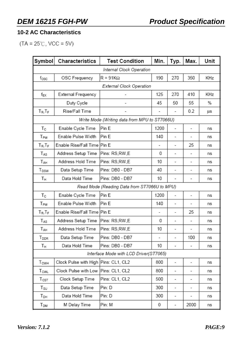# **10-2 AC Characteristics**

 $(TA = 25^{\circ}C, \text{VCC} = 5V)$ 

| Symbol                      | Characteristics                      | <b>Test Condition</b>                         | Min.                     | Typ.                     | Max.                     | Unit |  |  |  |  |  |
|-----------------------------|--------------------------------------|-----------------------------------------------|--------------------------|--------------------------|--------------------------|------|--|--|--|--|--|
| Internal Clock Operation    |                                      |                                               |                          |                          |                          |      |  |  |  |  |  |
| $f_{\rm OSC}$               | OSC Frequency                        | $R = 91K\Omega$                               | 190                      | 270                      | 350                      | KHz  |  |  |  |  |  |
| External Clock Operation    |                                      |                                               |                          |                          |                          |      |  |  |  |  |  |
| f <sub>EX</sub>             | External Frequency                   |                                               | 125                      | 270                      | 410                      | KHz  |  |  |  |  |  |
|                             | Duty Cycle                           |                                               | 45                       | 50                       | 55                       | %    |  |  |  |  |  |
| $T_R$ , $T_F$               | Rise/Fall Time                       | -                                             |                          |                          | 0.2                      | μs   |  |  |  |  |  |
|                             |                                      | Write Mode (Writing data from MPU to ST7066U) |                          |                          |                          |      |  |  |  |  |  |
| Тc                          | Enable Cycle Time                    | Pin E                                         | 1200                     | $\overline{\phantom{a}}$ |                          | ns   |  |  |  |  |  |
| T <sub>PW</sub>             | Enable Pulse Width                   | Pin E                                         | 140                      | -                        |                          | ns   |  |  |  |  |  |
| $T_R$ , $T_F$               | Enable Rise/Fall Time                | Pin E                                         | $\overline{\phantom{a}}$ | ٠                        | 25                       | ns   |  |  |  |  |  |
| $T_{AS}$                    | Address Setup Time                   | Pins: RS,RW,E                                 | 0                        | -                        |                          | ns   |  |  |  |  |  |
| TAH                         | Address Hold Time                    | Pins: RS,RW,E                                 | 10                       | $\overline{a}$           |                          | ns   |  |  |  |  |  |
| T <sub>DSW</sub>            | Data Setup Time                      | Pins: DB0 - DB7                               | 40                       | $\overline{\phantom{a}}$ | -                        | ns   |  |  |  |  |  |
| Τн                          | Data Hold Time                       | Pins: DB0 - DB7                               | 10                       | $\overline{\phantom{a}}$ |                          | ns   |  |  |  |  |  |
|                             |                                      | Read Mode (Reading Data from ST7066U to MPU)  |                          |                          |                          |      |  |  |  |  |  |
| $T_{\rm C}$                 | Enable Cycle Time                    | Pin E                                         | 1200                     | $\overline{\phantom{a}}$ | $\overline{\phantom{0}}$ | ns   |  |  |  |  |  |
| T <sub>PW</sub>             | Enable Pulse Width                   | Pin E                                         | 140                      | -                        | -                        | ns   |  |  |  |  |  |
| $T_R$ , $T_F$               | Enable Rise/Fall Time                | Pin E                                         | $\overline{\phantom{a}}$ | -                        | 25                       | ns   |  |  |  |  |  |
| $T_{AS}$                    | Address Setup Time                   | Pins: RS,RW,E                                 | 0                        | -                        | ۰                        | ns   |  |  |  |  |  |
| TAH                         | Address Hold Time                    | Pins: RS,RW,E                                 | 10                       | -                        | -                        | ns   |  |  |  |  |  |
| $T_{\text{DDR}}$            | Data Setup Time                      | Pins: DB0 - DB7                               | $\overline{\phantom{a}}$ |                          | 100                      | ns   |  |  |  |  |  |
| Tн                          | Data Hold Time                       | Pins: DB0 - DB7                               | 10                       | -                        |                          | ns   |  |  |  |  |  |
|                             |                                      | Interface Mode with LCD Driver(ST7065)        |                          |                          |                          |      |  |  |  |  |  |
| T <sub>CWH</sub>            | Clock Pulse with High Pins: CL1, CL2 |                                               | 800                      | $\overline{\phantom{a}}$ | -                        | ns   |  |  |  |  |  |
| T <sub>CWL</sub>            | Clock Pulse with Low                 | Pins: CL1, CL2                                | 800                      | -                        |                          | ns   |  |  |  |  |  |
| $T_{\texttt{CST}}$          | Clock Setup Time                     | Pins: CL1, CL2                                | 500                      | -                        | -                        | ns   |  |  |  |  |  |
| $T_{\scriptstyle\text{SU}}$ | Data Setup Time                      | Pin: D                                        | 300                      | -                        | -                        | ns   |  |  |  |  |  |
| T <sub>DH</sub>             | Data Hold Time                       | Pin: D                                        | 300                      | -                        |                          | ns   |  |  |  |  |  |
| Т <sub>DM</sub>             | M Delay Time                         | Pin: M                                        | 0                        |                          | 2000                     | ns   |  |  |  |  |  |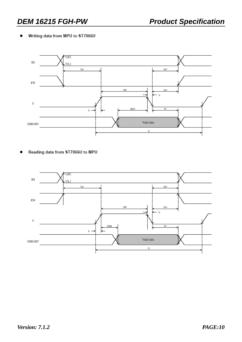### Writing data from MPU to ST7066U



Reading data from ST7066U to MPU

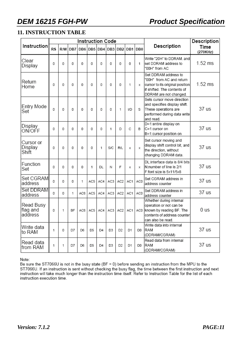# **11. INSTRUCTION TABLE**

|                                  | <b>Instruction Code</b> |     |     |     |     |     |     |                 |            |                 |                                                                                                                                              | Description      |
|----------------------------------|-------------------------|-----|-----|-----|-----|-----|-----|-----------------|------------|-----------------|----------------------------------------------------------------------------------------------------------------------------------------------|------------------|
| <b>Instruction</b>               | <b>RS</b>               | R/W | DB7 | DB6 |     |     |     | DB5 DB4 DB3 DB2 |            | DB1 DB0         | Description                                                                                                                                  | Time<br>(270KHz) |
| Clear<br>Display                 | 0                       | 0   | 0   | 0   | 0   | 0   | 0   | 0               | 0          | 1               | Write "20H" to DDRAM. and<br>set DDRAM address to<br>"00H" from AC                                                                           | $1.52$ ms        |
| Return<br>Home                   | 0                       | 0   | 0   | 0   | 0   | 0   | 0   | 0               | 1          | x               | Set DDRAM address to<br>"00H" from AC and return<br>cursor to its original position<br>if shifted. The contents of<br>DDRAM are not changed. | $1.52$ ms        |
| Entry Mode<br>Set                | 0                       | 0   | 0   | 0   | 0   | 0   | 0   | 1               | <b>I/D</b> | S               | Sets cursor move direction<br>and specifies display shift.<br>These operations are<br>performed during data write<br>and read.               | 37 us            |
| Display<br>ON/OFF                | 0                       | 0   | 0   | 0   | 0   | 0   | 1   | D               | C          | В               | D=1:entire display on<br>C=1:cursor on<br>B=1:cursor position on                                                                             | 37 us            |
| Cursor or<br>Display<br>Shift    | 0                       | 0   | 0   | 0   | 0   | 1   | S/C | R/L             | х          | X               | Set cursor moving and<br>display shift control bit, and<br>the direction, without<br>changing DDRAM data.                                    | 37 us            |
| Function<br>Set                  | 0                       | 0   | 0   | 0   | 1   | DL  | Ν   | F               | х          | x               | DL:interface data is 8/4 bits<br>N:number of line is 2/1<br>F:font size is 5x11/5x8                                                          | 37 us            |
| Set CGRAM<br>address             | 0                       | 0   | 0   | 1   | AC5 | AC4 | AC3 | AC <sub>2</sub> | AC1        | AC <sub>0</sub> | Set CGRAM address in<br>address counter                                                                                                      | 37 us            |
| Set DDRAM<br>address             | 0                       | 0   | 1   | AC6 | AC5 | AC4 | AC3 | AC <sub>2</sub> | AC1        | AC0             | Set DDRAM address in<br>address counter                                                                                                      | 37 us            |
| Read Busy<br>flag and<br>address | 0                       | 1   | BF  | AC6 | AC5 | AC4 | AC3 | AC2             | AC1        | AC0             | Whether during internal<br>operation or not can be<br>known by reading BF. The<br>contents of address counter<br>can also be read.           | 0 us             |
| Write data<br>to RAM             | 1                       | 0   | D7  | D6  | D5  | D4  | D3  | D2              | D1         | D0              | Write data into internal<br>RAM<br>(DDRAM/CGRAM)                                                                                             | 37 us            |
| Read data<br>from RAM            | 1                       | 1   | D7  | D6  | D5  | D4  | D3  | D2              | D1         | D0              | Read data from internal<br>RAM<br>(DDRAM/CGRAM)                                                                                              | 37 us            |

Note:

Be sure the ST7066U is not in the busy state (BF = 0) before sending an instruction from the MPU to the ST7066U. If an instruction is sent without checking the busy flag, the time between the first instruction and next instruction will take much longer than the instruction time itself. Refer to Instruction Table for the list of each instruction execution time.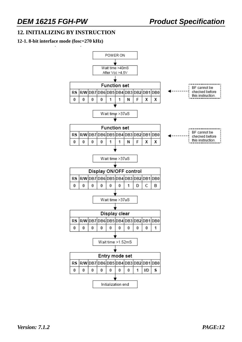# **12. INITIALIZING BY INSTRUCTION**

### **12-1. 8-bit interface mode (fosc=270 kHz)**

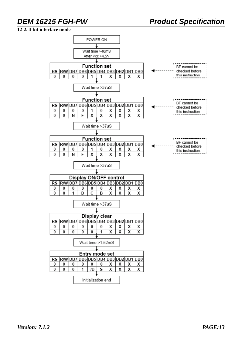### **12-2. 4-bit interface mode**

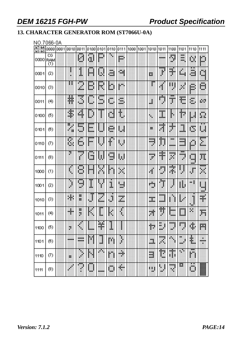# **13. CHARACTER GENERATOR ROM (ST7066U-0A)**

### NO.7066-0A

| $b7 - b4$<br>$b3-b0$ | 0000             | 0001 | 0010 | 0011     | 0100 0101 |          | 0110     | 0111       | 1000 | 1001 | 1010        | 1011        | 1100                       | 1101                         | 1110          | 1111              |
|----------------------|------------------|------|------|----------|-----------|----------|----------|------------|------|------|-------------|-------------|----------------------------|------------------------------|---------------|-------------------|
| 0000                 | CG<br>RAM<br>(1) |      |      | W        | ä,        | щŧ       |          | m          |      |      |             |             | ÿ                          | ж<br>W.                      | E.            | D                 |
| 0001                 | (2)              |      |      | 1        | 曲         | ш        | ä.       | m,         |      |      | E.          | š           | m<br>W.                    | M.                           | a             | Ш                 |
| 0010                 | (3)              |      | н    | I        | Н         | ₽        | E.       | $\rlap{/}$ |      |      |             | \$          | ц                          | H.                           | D             | ō                 |
| 0011                 | (4)              |      | Ħ    | B        | щb        | W.<br>w. | ж<br>w.  | s,         |      |      | Ш           | etter.<br>¢ | .                          | Ħ                            | E,            | ŘИ                |
| 0100                 | (5)              |      | B    | ш        | ĵ         | l        | d        | H          |      |      | ×           | mpo.<br>U.  | ľ                          | Ħ                            | Ш             | H.                |
| 0101                 | (6)              |      | I    | Hщ<br>w. | m<br>han. | win 19   | ē.       | ш          |      |      | н           | . .<br>Ħ    | $\color{red}\blacklozenge$ | 1                            | B             | щ                 |
| 0110                 | (7)              |      | S    | Ġ        | Ш         |          | ¢        | U          |      |      | m<br>****   | D           | ж<br>                      | .<br>,,,,<br>ana a           | p             | Ξ                 |
| 0111                 | (8)              |      | Z    |          | B         | W        | . .<br>d | W          |      |      | ****<br>×   | щ.          | 44.94<br>ж                 | <br>.<br>r                   | m<br>an d<br> | Ħ,                |
| 1000                 | (1)              |      | Ė    | B        | H         |          | H.       | ×.         |      |      | ф           | Ü           | X                          | ł<br>ī                       | ₽             | <b>TIME</b><br>×. |
| 1001                 | (2)              |      | ľ    | щ<br>ш   | Ī         | ⋬.       | I        | U          |      |      | e in<br>ш   | эw.<br>J.   |                            | H.                           | ж¢            | ш                 |
| 1010                 | (3)              |      | 8    | 灍<br>巃   | ₽         | L.       | U        | z          |      |      | ,,,,,<br>ш. | mm<br>      |                            | Ħ                            | ĵ             | ¥                 |
| 1011                 | (4)              |      | ₩    | ij.      | I,        | E        | P.       | I,         |      |      | W           | Ħ           | <b>Book</b><br>            | ■                            | K.            | A                 |
| 1100                 | (5)              |      | ж    | ×        |           | M.       | m        |            |      |      | 鲫           | H<br>ж<br>  |                            |                              | в.            | 膦                 |
| 1101                 | (6)              |      |      | <br>     | M         | đ        | 蹦        | ł          |      |      | J.          | an ing<br>踘 | ٩                          | ж<br>$\color{red} \clubsuit$ | H             | 鼺<br>×            |
| 1110                 | (7)              |      | 臦    | l        | I         | Юij      | Ш        | H.         |      |      | E           | Ħ           | đ,                         | ψ₿.                          | m<br>H        |                   |
| 1111                 | (8)              |      |      | ₫        | j         | -----    | Ш<br>┅   | H,         |      |      | H.          | ij<br>ţ.    | Ħ                          | 蹑                            | m<br>ш        | W                 |